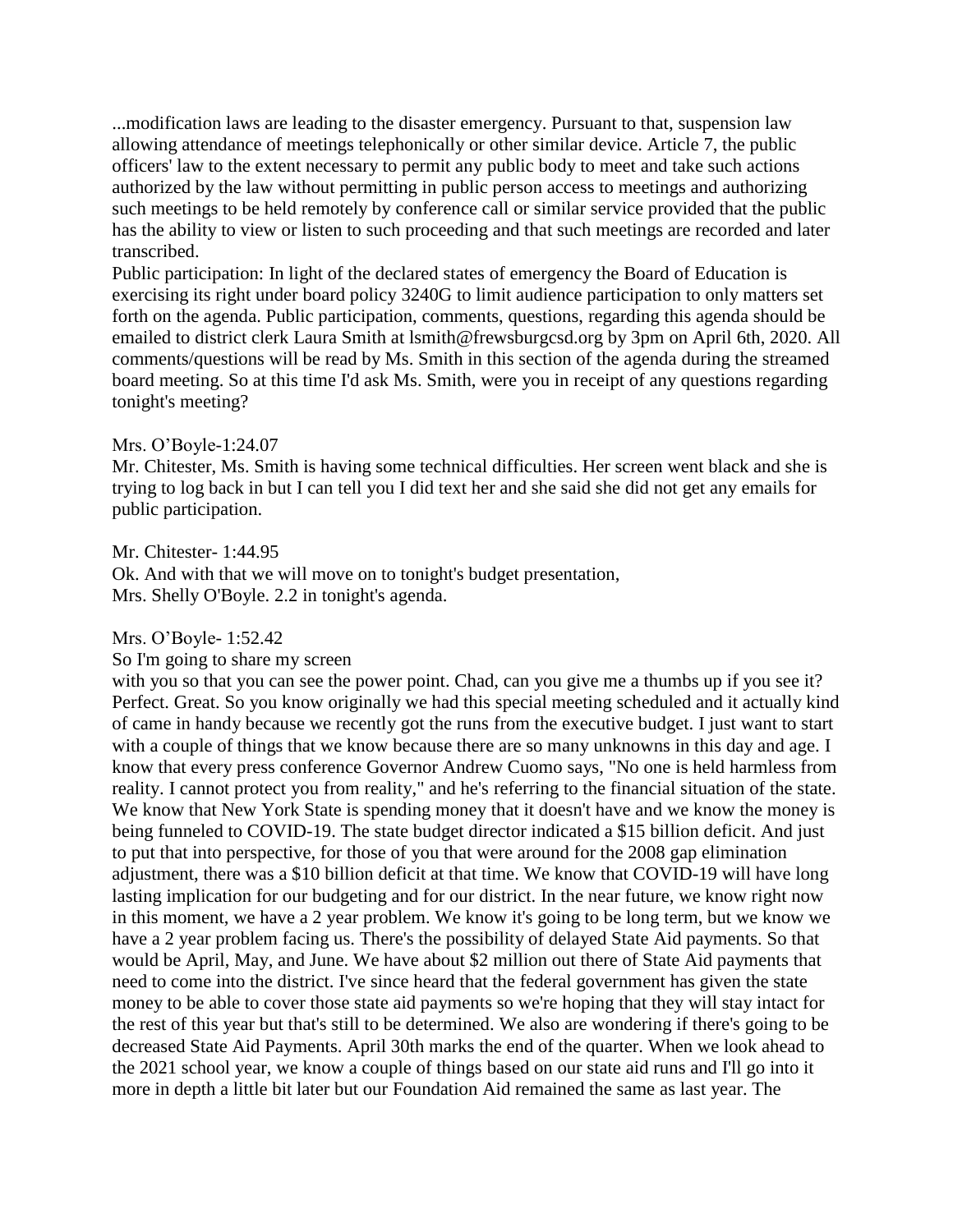...modification laws are leading to the disaster emergency. Pursuant to that, suspension law allowing attendance of meetings telephonically or other similar device. Article 7, the public officers' law to the extent necessary to permit any public body to meet and take such actions authorized by the law without permitting in public person access to meetings and authorizing such meetings to be held remotely by conference call or similar service provided that the public has the ability to view or listen to such proceeding and that such meetings are recorded and later transcribed.

Public participation: In light of the declared states of emergency the Board of Education is exercising its right under board policy 3240G to limit audience participation to only matters set forth on the agenda. Public participation, comments, questions, regarding this agenda should be emailed to district clerk Laura Smith at lsmith@frewsburgcsd.org by 3pm on April 6th, 2020. All comments/questions will be read by Ms. Smith in this section of the agenda during the streamed board meeting. So at this time I'd ask Ms. Smith, were you in receipt of any questions regarding tonight's meeting?

# Mrs. O'Boyle-1:24.07

Mr. Chitester, Ms. Smith is having some technical difficulties. Her screen went black and she is trying to log back in but I can tell you I did text her and she said she did not get any emails for public participation.

#### Mr. Chitester- 1:44.95

Ok. And with that we will move on to tonight's budget presentation, Mrs. Shelly O'Boyle. 2.2 in tonight's agenda.

### Mrs. O'Boyle- 1:52.42

So I'm going to share my screen

with you so that you can see the power point. Chad, can you give me a thumbs up if you see it? Perfect. Great. So you know originally we had this special meeting scheduled and it actually kind of came in handy because we recently got the runs from the executive budget. I just want to start with a couple of things that we know because there are so many unknowns in this day and age. I know that every press conference Governor Andrew Cuomo says, "No one is held harmless from reality. I cannot protect you from reality," and he's referring to the financial situation of the state. We know that New York State is spending money that it doesn't have and we know the money is being funneled to COVID-19. The state budget director indicated a \$15 billion deficit. And just to put that into perspective, for those of you that were around for the 2008 gap elimination adjustment, there was a \$10 billion deficit at that time. We know that COVID-19 will have long lasting implication for our budgeting and for our district. In the near future, we know right now in this moment, we have a 2 year problem. We know it's going to be long term, but we know we have a 2 year problem facing us. There's the possibility of delayed State Aid payments. So that would be April, May, and June. We have about \$2 million out there of State Aid payments that need to come into the district. I've since heard that the federal government has given the state money to be able to cover those state aid payments so we're hoping that they will stay intact for the rest of this year but that's still to be determined. We also are wondering if there's going to be decreased State Aid Payments. April 30th marks the end of the quarter. When we look ahead to the 2021 school year, we know a couple of things based on our state aid runs and I'll go into it more in depth a little bit later but our Foundation Aid remained the same as last year. The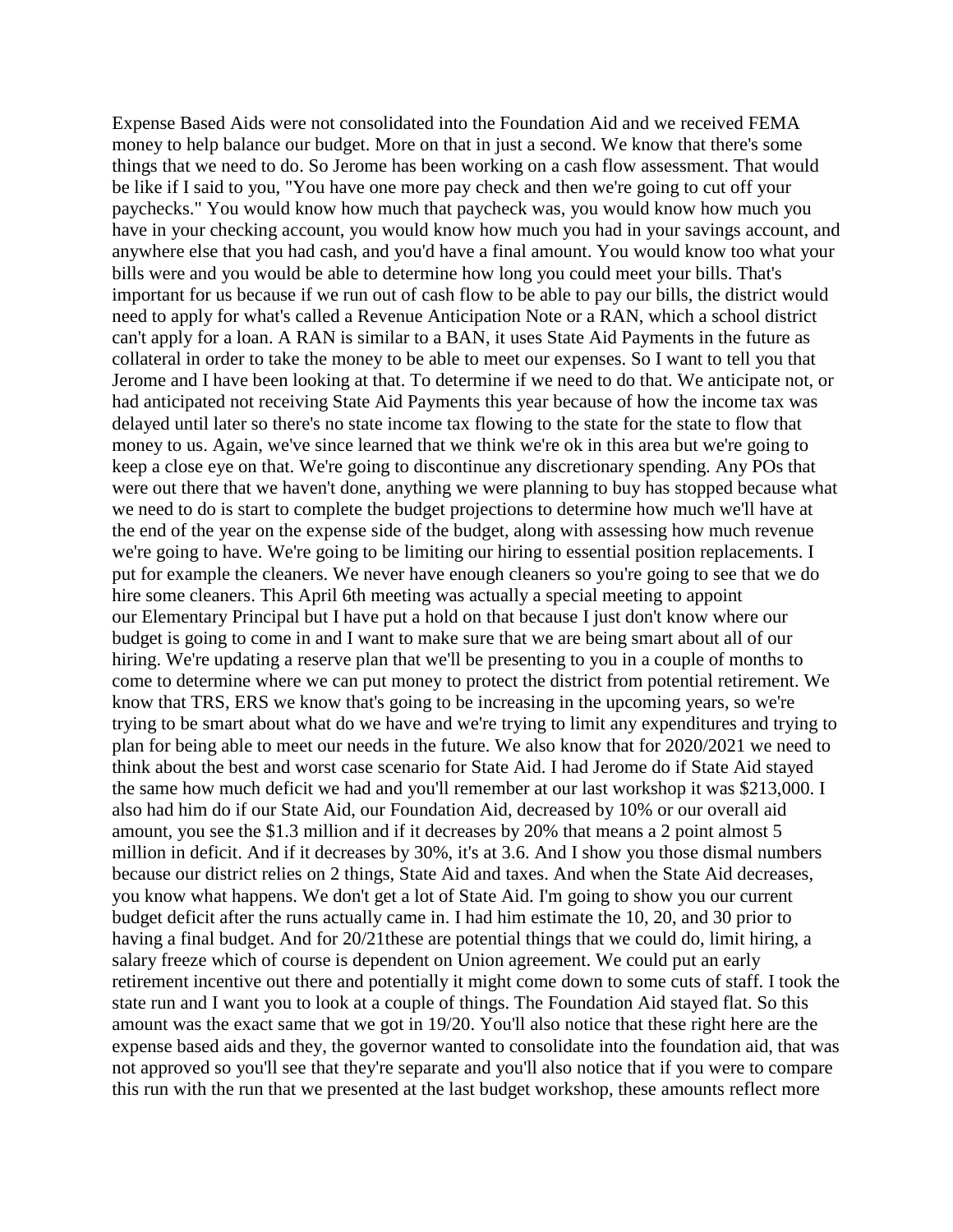Expense Based Aids were not consolidated into the Foundation Aid and we received FEMA money to help balance our budget. More on that in just a second. We know that there's some things that we need to do. So Jerome has been working on a cash flow assessment. That would be like if I said to you, "You have one more pay check and then we're going to cut off your paychecks." You would know how much that paycheck was, you would know how much you have in your checking account, you would know how much you had in your savings account, and anywhere else that you had cash, and you'd have a final amount. You would know too what your bills were and you would be able to determine how long you could meet your bills. That's important for us because if we run out of cash flow to be able to pay our bills, the district would need to apply for what's called a Revenue Anticipation Note or a RAN, which a school district can't apply for a loan. A RAN is similar to a BAN, it uses State Aid Payments in the future as collateral in order to take the money to be able to meet our expenses. So I want to tell you that Jerome and I have been looking at that. To determine if we need to do that. We anticipate not, or had anticipated not receiving State Aid Payments this year because of how the income tax was delayed until later so there's no state income tax flowing to the state for the state to flow that money to us. Again, we've since learned that we think we're ok in this area but we're going to keep a close eye on that. We're going to discontinue any discretionary spending. Any POs that were out there that we haven't done, anything we were planning to buy has stopped because what we need to do is start to complete the budget projections to determine how much we'll have at the end of the year on the expense side of the budget, along with assessing how much revenue we're going to have. We're going to be limiting our hiring to essential position replacements. I put for example the cleaners. We never have enough cleaners so you're going to see that we do hire some cleaners. This April 6th meeting was actually a special meeting to appoint our Elementary Principal but I have put a hold on that because I just don't know where our budget is going to come in and I want to make sure that we are being smart about all of our hiring. We're updating a reserve plan that we'll be presenting to you in a couple of months to come to determine where we can put money to protect the district from potential retirement. We know that TRS, ERS we know that's going to be increasing in the upcoming years, so we're trying to be smart about what do we have and we're trying to limit any expenditures and trying to plan for being able to meet our needs in the future. We also know that for 2020/2021 we need to think about the best and worst case scenario for State Aid. I had Jerome do if State Aid stayed the same how much deficit we had and you'll remember at our last workshop it was \$213,000. I also had him do if our State Aid, our Foundation Aid, decreased by 10% or our overall aid amount, you see the \$1.3 million and if it decreases by 20% that means a 2 point almost 5 million in deficit. And if it decreases by 30%, it's at 3.6. And I show you those dismal numbers because our district relies on 2 things, State Aid and taxes. And when the State Aid decreases, you know what happens. We don't get a lot of State Aid. I'm going to show you our current budget deficit after the runs actually came in. I had him estimate the 10, 20, and 30 prior to having a final budget. And for 20/21these are potential things that we could do, limit hiring, a salary freeze which of course is dependent on Union agreement. We could put an early retirement incentive out there and potentially it might come down to some cuts of staff. I took the state run and I want you to look at a couple of things. The Foundation Aid stayed flat. So this amount was the exact same that we got in 19/20. You'll also notice that these right here are the expense based aids and they, the governor wanted to consolidate into the foundation aid, that was not approved so you'll see that they're separate and you'll also notice that if you were to compare this run with the run that we presented at the last budget workshop, these amounts reflect more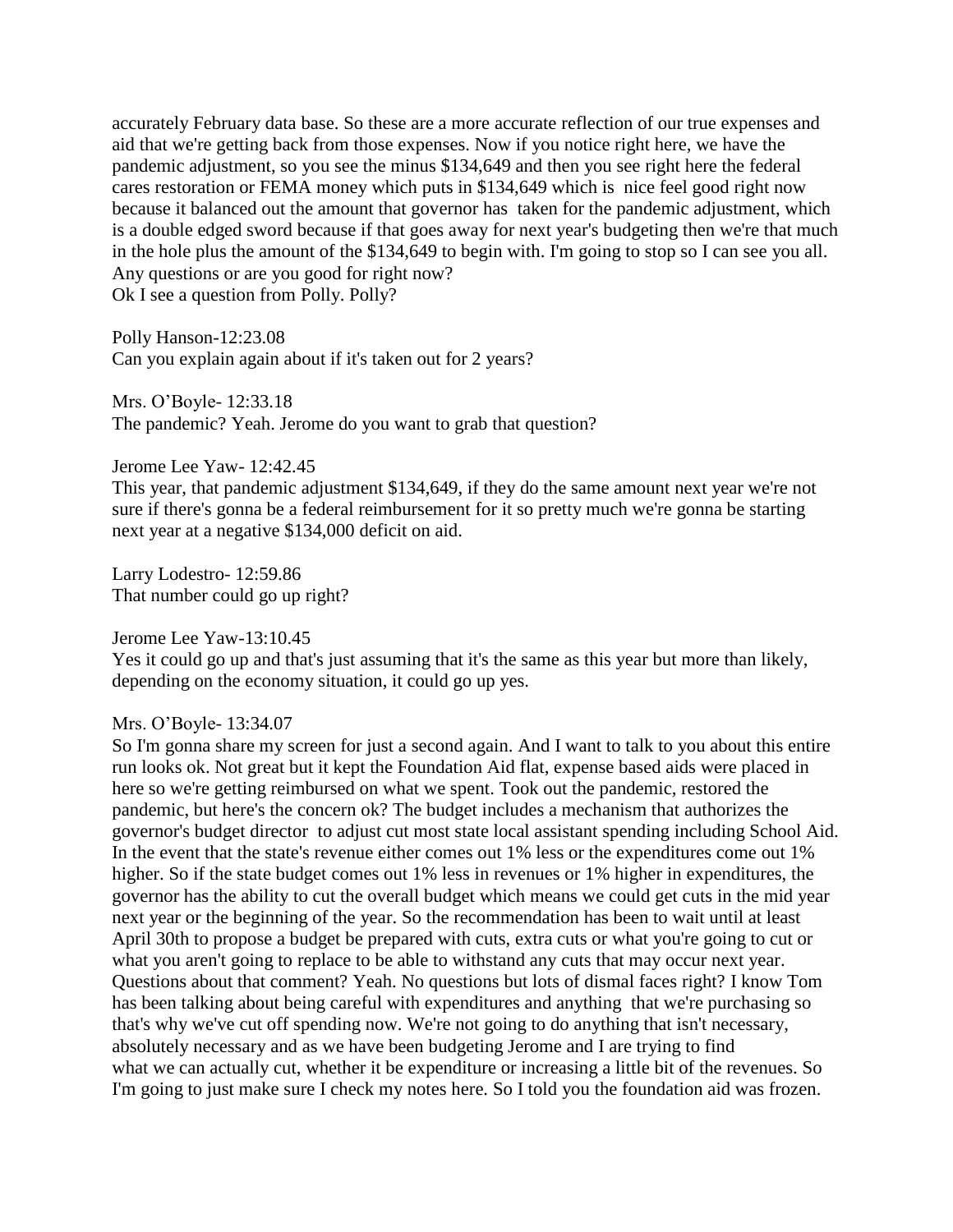accurately February data base. So these are a more accurate reflection of our true expenses and aid that we're getting back from those expenses. Now if you notice right here, we have the pandemic adjustment, so you see the minus \$134,649 and then you see right here the federal cares restoration or FEMA money which puts in \$134,649 which is nice feel good right now because it balanced out the amount that governor has taken for the pandemic adjustment, which is a double edged sword because if that goes away for next year's budgeting then we're that much in the hole plus the amount of the \$134,649 to begin with. I'm going to stop so I can see you all. Any questions or are you good for right now? Ok I see a question from Polly. Polly?

Polly Hanson-12:23.08 Can you explain again about if it's taken out for 2 years?

Mrs. O'Boyle- 12:33.18 The pandemic? Yeah. Jerome do you want to grab that question?

Jerome Lee Yaw- 12:42.45

This year, that pandemic adjustment \$134,649, if they do the same amount next year we're not sure if there's gonna be a federal reimbursement for it so pretty much we're gonna be starting next year at a negative \$134,000 deficit on aid.

Larry Lodestro- 12:59.86 That number could go up right?

Jerome Lee Yaw-13:10.45

Yes it could go up and that's just assuming that it's the same as this year but more than likely, depending on the economy situation, it could go up yes.

Mrs. O'Boyle- 13:34.07

So I'm gonna share my screen for just a second again. And I want to talk to you about this entire run looks ok. Not great but it kept the Foundation Aid flat, expense based aids were placed in here so we're getting reimbursed on what we spent. Took out the pandemic, restored the pandemic, but here's the concern ok? The budget includes a mechanism that authorizes the governor's budget director to adjust cut most state local assistant spending including School Aid. In the event that the state's revenue either comes out 1% less or the expenditures come out 1% higher. So if the state budget comes out 1% less in revenues or 1% higher in expenditures, the governor has the ability to cut the overall budget which means we could get cuts in the mid year next year or the beginning of the year. So the recommendation has been to wait until at least April 30th to propose a budget be prepared with cuts, extra cuts or what you're going to cut or what you aren't going to replace to be able to withstand any cuts that may occur next year. Questions about that comment? Yeah. No questions but lots of dismal faces right? I know Tom has been talking about being careful with expenditures and anything that we're purchasing so that's why we've cut off spending now. We're not going to do anything that isn't necessary, absolutely necessary and as we have been budgeting Jerome and I are trying to find what we can actually cut, whether it be expenditure or increasing a little bit of the revenues. So I'm going to just make sure I check my notes here. So I told you the foundation aid was frozen.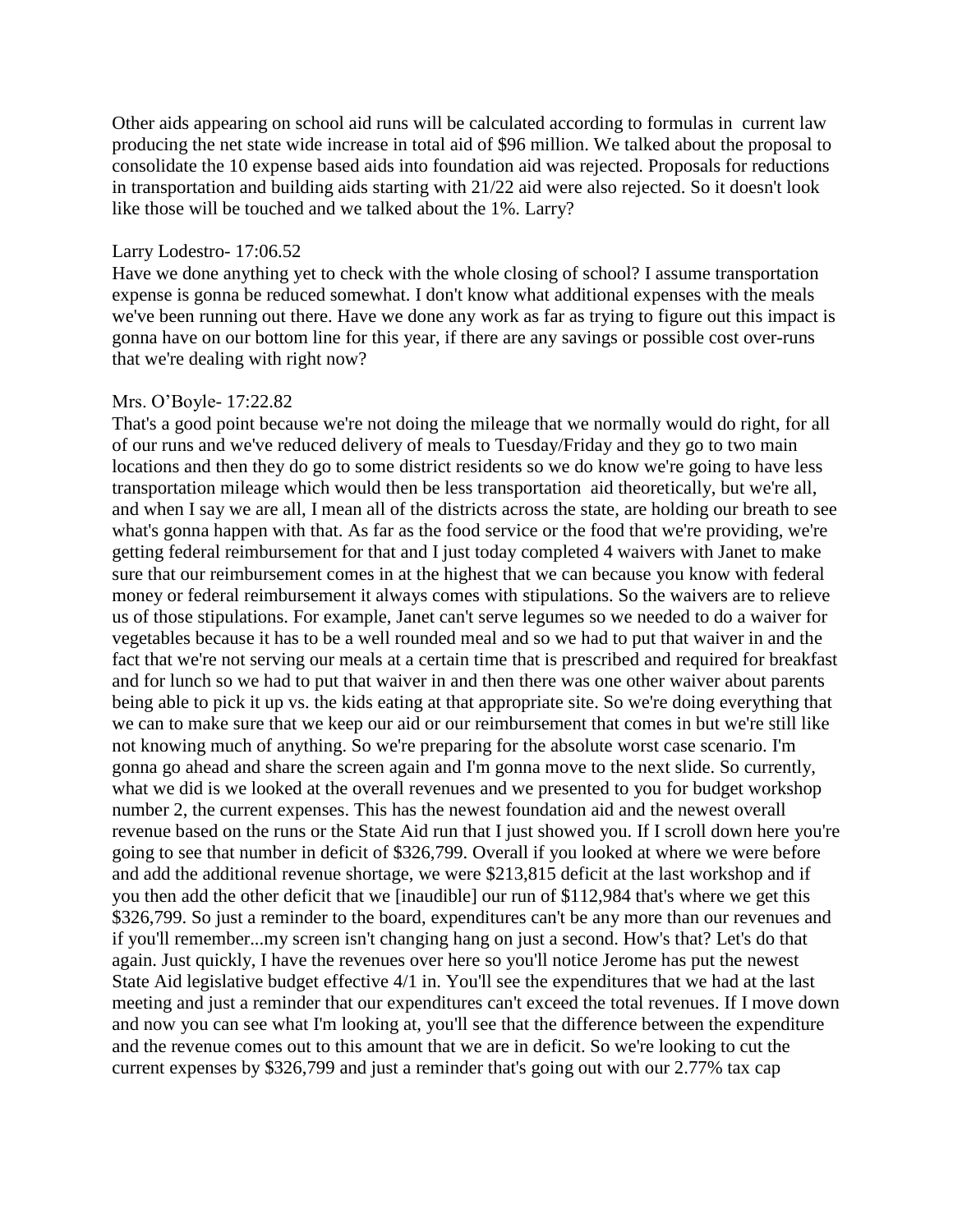Other aids appearing on school aid runs will be calculated according to formulas in current law producing the net state wide increase in total aid of \$96 million. We talked about the proposal to consolidate the 10 expense based aids into foundation aid was rejected. Proposals for reductions in transportation and building aids starting with 21/22 aid were also rejected. So it doesn't look like those will be touched and we talked about the 1%. Larry?

### Larry Lodestro- 17:06.52

Have we done anything yet to check with the whole closing of school? I assume transportation expense is gonna be reduced somewhat. I don't know what additional expenses with the meals we've been running out there. Have we done any work as far as trying to figure out this impact is gonna have on our bottom line for this year, if there are any savings or possible cost over-runs that we're dealing with right now?

#### Mrs. O'Boyle- 17:22.82

That's a good point because we're not doing the mileage that we normally would do right, for all of our runs and we've reduced delivery of meals to Tuesday/Friday and they go to two main locations and then they do go to some district residents so we do know we're going to have less transportation mileage which would then be less transportation aid theoretically, but we're all, and when I say we are all, I mean all of the districts across the state, are holding our breath to see what's gonna happen with that. As far as the food service or the food that we're providing, we're getting federal reimbursement for that and I just today completed 4 waivers with Janet to make sure that our reimbursement comes in at the highest that we can because you know with federal money or federal reimbursement it always comes with stipulations. So the waivers are to relieve us of those stipulations. For example, Janet can't serve legumes so we needed to do a waiver for vegetables because it has to be a well rounded meal and so we had to put that waiver in and the fact that we're not serving our meals at a certain time that is prescribed and required for breakfast and for lunch so we had to put that waiver in and then there was one other waiver about parents being able to pick it up vs. the kids eating at that appropriate site. So we're doing everything that we can to make sure that we keep our aid or our reimbursement that comes in but we're still like not knowing much of anything. So we're preparing for the absolute worst case scenario. I'm gonna go ahead and share the screen again and I'm gonna move to the next slide. So currently, what we did is we looked at the overall revenues and we presented to you for budget workshop number 2, the current expenses. This has the newest foundation aid and the newest overall revenue based on the runs or the State Aid run that I just showed you. If I scroll down here you're going to see that number in deficit of \$326,799. Overall if you looked at where we were before and add the additional revenue shortage, we were \$213,815 deficit at the last workshop and if you then add the other deficit that we [inaudible] our run of \$112,984 that's where we get this \$326,799. So just a reminder to the board, expenditures can't be any more than our revenues and if you'll remember...my screen isn't changing hang on just a second. How's that? Let's do that again. Just quickly, I have the revenues over here so you'll notice Jerome has put the newest State Aid legislative budget effective 4/1 in. You'll see the expenditures that we had at the last meeting and just a reminder that our expenditures can't exceed the total revenues. If I move down and now you can see what I'm looking at, you'll see that the difference between the expenditure and the revenue comes out to this amount that we are in deficit. So we're looking to cut the current expenses by \$326,799 and just a reminder that's going out with our 2.77% tax cap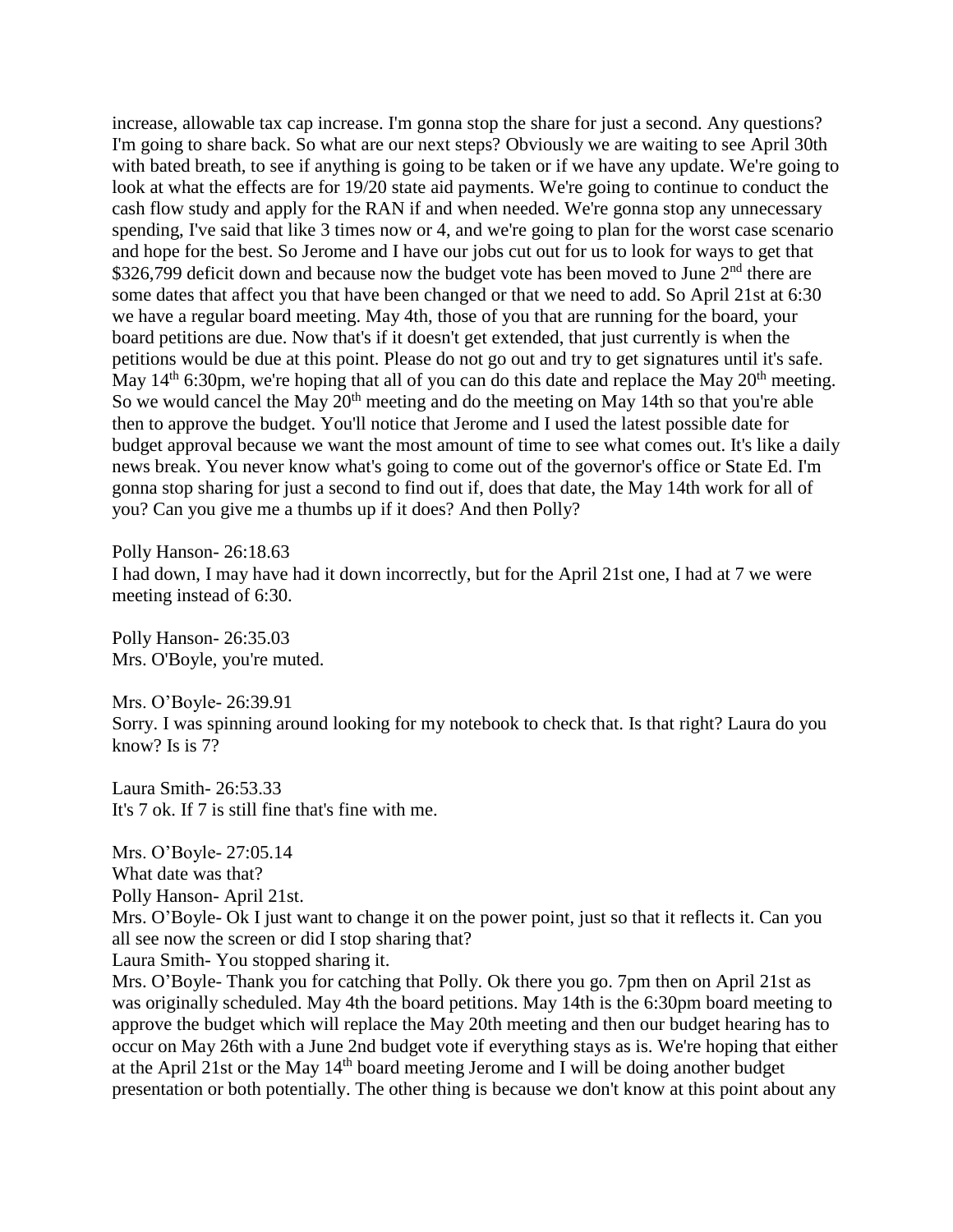increase, allowable tax cap increase. I'm gonna stop the share for just a second. Any questions? I'm going to share back. So what are our next steps? Obviously we are waiting to see April 30th with bated breath, to see if anything is going to be taken or if we have any update. We're going to look at what the effects are for 19/20 state aid payments. We're going to continue to conduct the cash flow study and apply for the RAN if and when needed. We're gonna stop any unnecessary spending, I've said that like 3 times now or 4, and we're going to plan for the worst case scenario and hope for the best. So Jerome and I have our jobs cut out for us to look for ways to get that \$326,799 deficit down and because now the budget vote has been moved to June  $2<sup>nd</sup>$  there are some dates that affect you that have been changed or that we need to add. So April 21st at 6:30 we have a regular board meeting. May 4th, those of you that are running for the board, your board petitions are due. Now that's if it doesn't get extended, that just currently is when the petitions would be due at this point. Please do not go out and try to get signatures until it's safe. May  $14<sup>th</sup>$  6:30pm, we're hoping that all of you can do this date and replace the May  $20<sup>th</sup>$  meeting. So we would cancel the May  $20<sup>th</sup>$  meeting and do the meeting on May 14th so that you're able then to approve the budget. You'll notice that Jerome and I used the latest possible date for budget approval because we want the most amount of time to see what comes out. It's like a daily news break. You never know what's going to come out of the governor's office or State Ed. I'm gonna stop sharing for just a second to find out if, does that date, the May 14th work for all of you? Can you give me a thumbs up if it does? And then Polly?

Polly Hanson- 26:18.63

I had down, I may have had it down incorrectly, but for the April 21st one, I had at 7 we were meeting instead of 6:30.

Polly Hanson- 26:35.03 Mrs. O'Boyle, you're muted.

Mrs. O'Boyle- 26:39.91 Sorry. I was spinning around looking for my notebook to check that. Is that right? Laura do you know? Is is 7?

Laura Smith- 26:53.33 It's 7 ok. If 7 is still fine that's fine with me.

Mrs. O'Boyle- 27:05.14

What date was that?

Polly Hanson- April 21st.

Mrs. O'Boyle- Ok I just want to change it on the power point, just so that it reflects it. Can you all see now the screen or did I stop sharing that?

Laura Smith- You stopped sharing it.

Mrs. O'Boyle- Thank you for catching that Polly. Ok there you go. 7pm then on April 21st as was originally scheduled. May 4th the board petitions. May 14th is the 6:30pm board meeting to approve the budget which will replace the May 20th meeting and then our budget hearing has to occur on May 26th with a June 2nd budget vote if everything stays as is. We're hoping that either at the April 21st or the May 14th board meeting Jerome and I will be doing another budget presentation or both potentially. The other thing is because we don't know at this point about any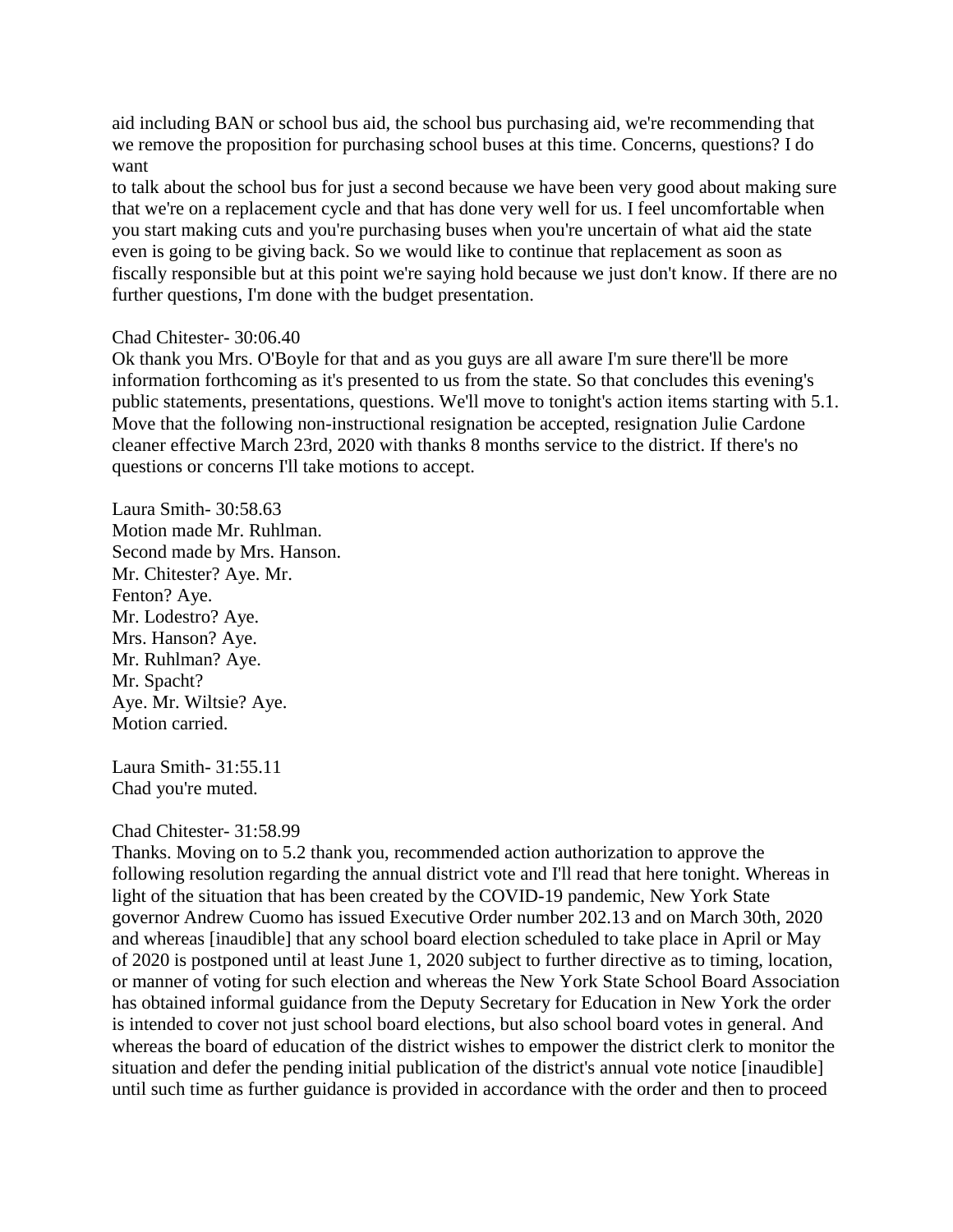aid including BAN or school bus aid, the school bus purchasing aid, we're recommending that we remove the proposition for purchasing school buses at this time. Concerns, questions? I do want

to talk about the school bus for just a second because we have been very good about making sure that we're on a replacement cycle and that has done very well for us. I feel uncomfortable when you start making cuts and you're purchasing buses when you're uncertain of what aid the state even is going to be giving back. So we would like to continue that replacement as soon as fiscally responsible but at this point we're saying hold because we just don't know. If there are no further questions, I'm done with the budget presentation.

### Chad Chitester- 30:06.40

Ok thank you Mrs. O'Boyle for that and as you guys are all aware I'm sure there'll be more information forthcoming as it's presented to us from the state. So that concludes this evening's public statements, presentations, questions. We'll move to tonight's action items starting with 5.1. Move that the following non-instructional resignation be accepted, resignation Julie Cardone cleaner effective March 23rd, 2020 with thanks 8 months service to the district. If there's no questions or concerns I'll take motions to accept.

Laura Smith- 30:58.63 Motion made Mr. Ruhlman. Second made by Mrs. Hanson. Mr. Chitester? Aye. Mr. Fenton? Aye. Mr. Lodestro? Aye. Mrs. Hanson? Aye. Mr. Ruhlman? Aye. Mr. Spacht? Aye. Mr. Wiltsie? Aye. Motion carried.

Laura Smith- 31:55.11 Chad you're muted.

## Chad Chitester- 31:58.99

Thanks. Moving on to 5.2 thank you, recommended action authorization to approve the following resolution regarding the annual district vote and I'll read that here tonight. Whereas in light of the situation that has been created by the COVID-19 pandemic, New York State governor Andrew Cuomo has issued Executive Order number 202.13 and on March 30th, 2020 and whereas [inaudible] that any school board election scheduled to take place in April or May of 2020 is postponed until at least June 1, 2020 subject to further directive as to timing, location, or manner of voting for such election and whereas the New York State School Board Association has obtained informal guidance from the Deputy Secretary for Education in New York the order is intended to cover not just school board elections, but also school board votes in general. And whereas the board of education of the district wishes to empower the district clerk to monitor the situation and defer the pending initial publication of the district's annual vote notice [inaudible] until such time as further guidance is provided in accordance with the order and then to proceed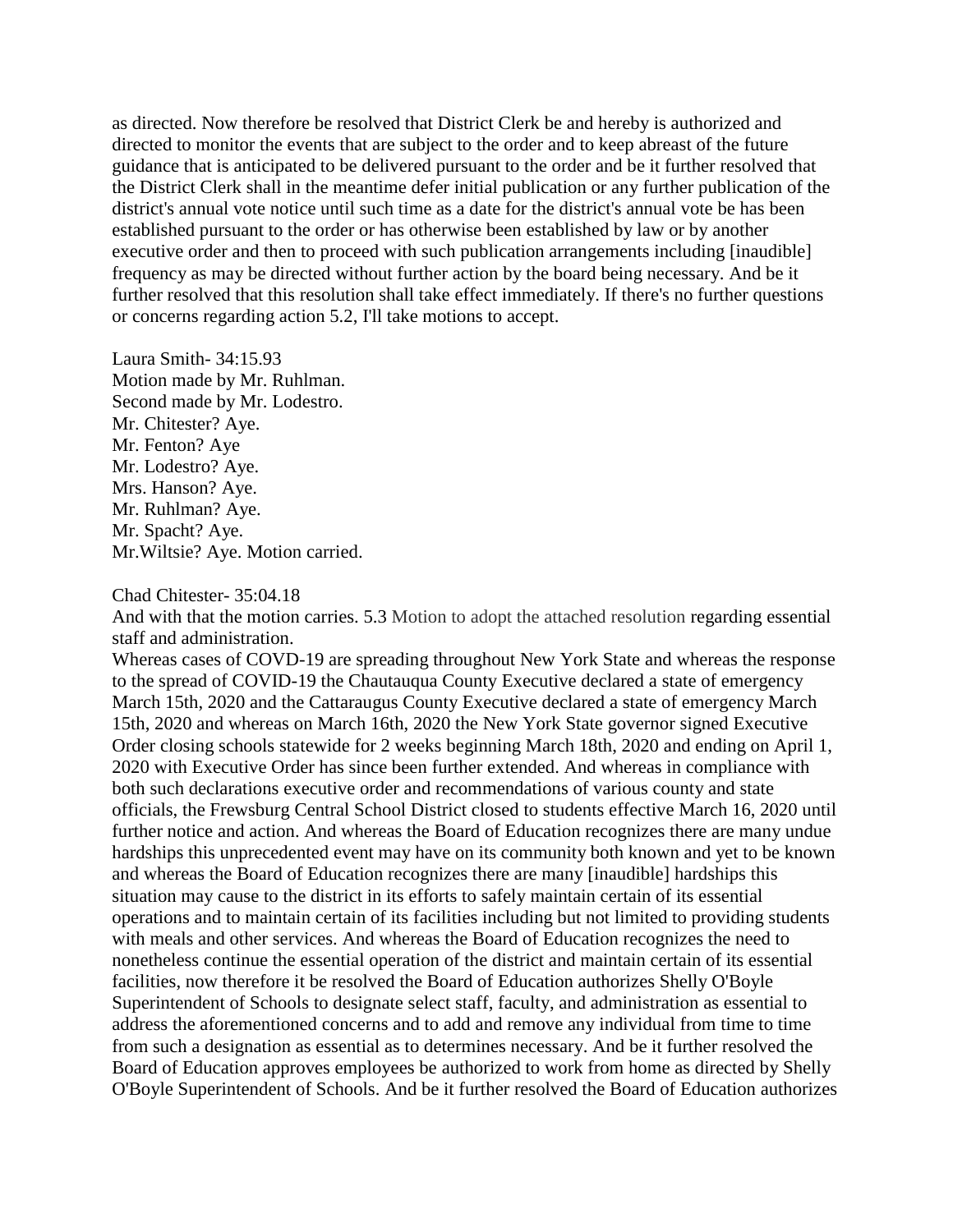as directed. Now therefore be resolved that District Clerk be and hereby is authorized and directed to monitor the events that are subject to the order and to keep abreast of the future guidance that is anticipated to be delivered pursuant to the order and be it further resolved that the District Clerk shall in the meantime defer initial publication or any further publication of the district's annual vote notice until such time as a date for the district's annual vote be has been established pursuant to the order or has otherwise been established by law or by another executive order and then to proceed with such publication arrangements including [inaudible] frequency as may be directed without further action by the board being necessary. And be it further resolved that this resolution shall take effect immediately. If there's no further questions or concerns regarding action 5.2, I'll take motions to accept.

Laura Smith- 34:15.93 Motion made by Mr. Ruhlman. Second made by Mr. Lodestro. Mr. Chitester? Aye. Mr. Fenton? Aye Mr. Lodestro? Aye. Mrs. Hanson? Aye. Mr. Ruhlman? Aye. Mr. Spacht? Aye. Mr.Wiltsie? Aye. Motion carried.

#### Chad Chitester- 35:04.18

And with that the motion carries. 5.3 Motion to adopt the attached resolution regarding essential staff and administration.

Whereas cases of COVD-19 are spreading throughout New York State and whereas the response to the spread of COVID-19 the Chautauqua County Executive declared a state of emergency March 15th, 2020 and the Cattaraugus County Executive declared a state of emergency March 15th, 2020 and whereas on March 16th, 2020 the New York State governor signed Executive Order closing schools statewide for 2 weeks beginning March 18th, 2020 and ending on April 1, 2020 with Executive Order has since been further extended. And whereas in compliance with both such declarations executive order and recommendations of various county and state officials, the Frewsburg Central School District closed to students effective March 16, 2020 until further notice and action. And whereas the Board of Education recognizes there are many undue hardships this unprecedented event may have on its community both known and yet to be known and whereas the Board of Education recognizes there are many [inaudible] hardships this situation may cause to the district in its efforts to safely maintain certain of its essential operations and to maintain certain of its facilities including but not limited to providing students with meals and other services. And whereas the Board of Education recognizes the need to nonetheless continue the essential operation of the district and maintain certain of its essential facilities, now therefore it be resolved the Board of Education authorizes Shelly O'Boyle Superintendent of Schools to designate select staff, faculty, and administration as essential to address the aforementioned concerns and to add and remove any individual from time to time from such a designation as essential as to determines necessary. And be it further resolved the Board of Education approves employees be authorized to work from home as directed by Shelly O'Boyle Superintendent of Schools. And be it further resolved the Board of Education authorizes